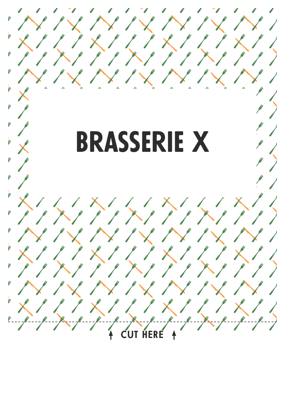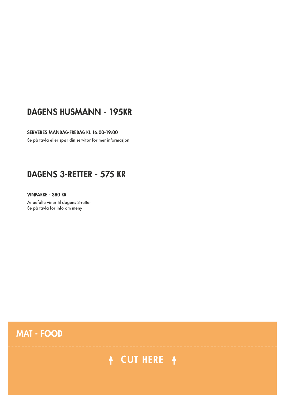### **DAGENS HUSMANN - 195KR**

#### **SERVERES MANDAG-FREDAG KL 16:00-19:00**

Se på tavla eller spør din servitør for mer informasjon

### **DAGENS 3-RETTER - 575 KR**

**VINPAKKE - 380 KR** Anbefalte viner til dagens 3-retter Se på tavla for info om meny

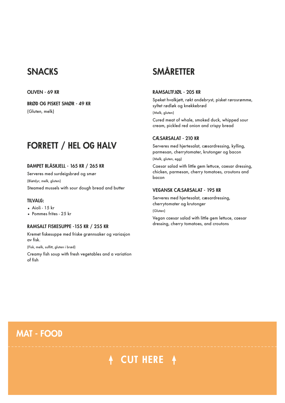### **SNACKS**

#### **OLIVEN - 69 KR**

**BRØD OG PISKET SMØR - 49 KR** (Gluten, melk)

# **FORRETT / HEL OG HALV**

#### **DAMPET BLÅSKJELL - 165 KR / 265 KR**

Serveres med surdeigsbrød og smør (Bløtdyr, melk, gluten) Steamed mussels with sour dough bread and butter

#### **TILVALG:**

- $\bullet$  Aioli 15 kr
- Pommes frites 25 kr

#### **RAMSALT FISKESUPPE -155 KR / 255 KR**

Kremet fiskesuppe med friske grønnsaker og variasjon av fisk.

(Fisk, melk, sulfitt, gluten i brød)

Creamy fish soup with fresh vegetables and a variation of fish

# **SMÅRETTER**

#### **RAMSALTFJØL - 205 KR**

Speket hvalkjøtt, røkt andebryst, pisket rørosrømme, syltet rødløk og knekkebrød

(Melk, gluten)

Cured meat of whale, smoked duck, whipped sour cream, pickled red onion and crispy bread

#### **CÆSARSALAT - 210 KR**

Serveres med hjertesalat, cæsardressing, kylling, parmesan, cherrytomater, krutonger og bacon

(Melk, gluten, egg)

Caesar salad with little gem lettuce, caesar dressing, chicken, parmesan, cherry tomatoes, croutons and bacon

#### **VEGANSK CÆSARSALAT - 195 KR**

Serveres med hjertesalat, cæsardressing, cherrytomater og krutonger

(Gluten)

Vegan caesar salad with little gem lettuce, caesar dressing, cherry tomatoes, and croutons

### **MAT - FOOD**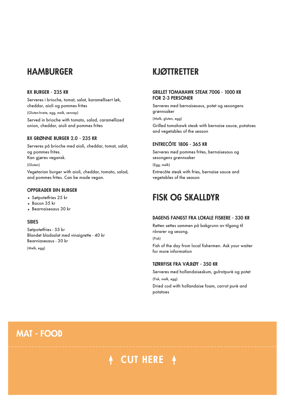### **HAMBURGER**

#### **BX BURGER - 235 KR**

Serveres i brioche, tomat, salat, karamellisert løk, cheddar, aioli og pommes frites

(Gluten-hvete, egg, melk, sennep)

Served in brioche with tomato, salad, caramellized onion, cheddar, aioli and pommes frites

#### **BX GRØNNE BURGER 2.0 - 235 KR**

Serveres på brioche med aioli, cheddar, tomat, salat, og pommes frites. Kan gjøres vegansk.

(Gluten)

Vegetarian burger with aioli, cheddar, tomato, salad, and pommes frites. Can be made vegan.

#### **OPPGRADER DIN BURGER**

- Søtpotetfries 25 kr
- Bacon 35 kr
- Bearnaisesaus 30 kr

#### **SIDES**

Søtpotetfries - 55 kr Blandet bladsalat med vinaigrette - 40 kr Bearniasesaus - 30 kr

(Melk, egg)

### **KJØTTRETTER**

#### **GRILLET TOMAHAWK STEAK 700G - 1000 KR FOR 2-3 PERSONER**

Serveres med bernaisesaus, potet og sesongens grønnsaker

(Melk, gluten, egg)

Grilled tomahawk steak with bernaise sauce, potatoes and vegetables of the season

#### **ENTRECÔTE 180G - 365 KR**

Serveres med pommes frites, bernaisesaus og sesongens grønnsaker

(Egg, melk)

Entrecôte steak with fries, bernaise sauce and vegetables of the season

### **FISK OG SKALLDYR**

#### **DAGENS FANGST FRA LOKALE FISKERE - 330 KR**

Retten settes sammen på bakgrunn av tilgang til råvarer og sesong.

(Fisk)

Fish of the day from local fishermen. Ask your waiter for more information

#### **TØRRFISK FRA VÆRØY - 350 KR**

Serveres med hollandaiseskum, gulrotpurè og potet (Fisk, melk, egg) Dried cod with hollandaise foam, carrot purè and

potatoes